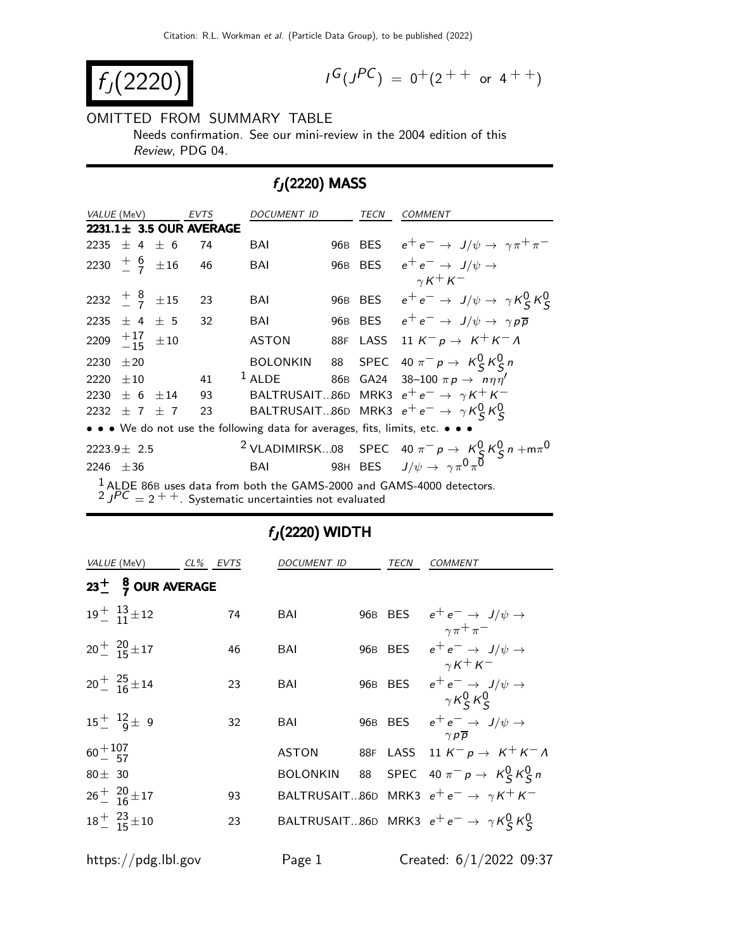$$
f_{J}(2220)
$$

$$
G(J^{PC}) = 0^+(2^{++} \text{ or } 4^{++})
$$

#### OMITTED FROM SUMMARY TABLE

Needs confirmation. See our mini-review in the 2004 edition of this Review, PDG 04.

## fJ (2220) MASS

| <i>VALUE</i> (MeV)                        |       |                  | EVTS                         | DOCUMENT ID                                                                   | TECN | COMMENT                                                                          |
|-------------------------------------------|-------|------------------|------------------------------|-------------------------------------------------------------------------------|------|----------------------------------------------------------------------------------|
|                                           |       |                  | $2231.1 \pm 3.5$ OUR AVERAGE |                                                                               |      |                                                                                  |
| 2235                                      |       | $\pm$ 4 $\pm$ 6  | 74                           | BAI                                                                           |      | 96B BES $e^+e^- \rightarrow J/\psi \rightarrow \gamma \pi^+ \pi^-$               |
| 2230 $\frac{+}{-}$ $\frac{6}{7}$ $\pm 16$ |       |                  | 46                           | BAI                                                                           |      | 96B BES $e^+e^- \rightarrow J/\psi \rightarrow$                                  |
|                                           |       |                  |                              |                                                                               |      | $\gamma$ K <sup>+</sup> K <sup>-</sup>                                           |
| 2232 $\frac{+}{-}$ $\frac{8}{7}$ $\pm 15$ |       |                  | 23                           | BAI                                                                           |      | 96B BES $e^+e^- \rightarrow J/\psi \rightarrow \gamma K_S^0 K_S^0$               |
| 2235 $\pm$ 4 $\pm$ 5                      |       |                  | 32                           | BAI                                                                           |      | 96B BES $e^+e^- \rightarrow J/\psi \rightarrow \gamma p \overline{p}$            |
| 2209 $^{+17}_{-15}$ $\pm 10$              |       |                  |                              | <b>ASTON</b>                                                                  |      | 88F LASS 11 $K^ p \rightarrow K^+ K^- \Lambda$                                   |
| 2230                                      | ±20   |                  |                              |                                                                               |      | BOLONKIN 88 SPEC 40 $\pi^- p \to K^0_S K^0_S n$                                  |
| 2220                                      | $+10$ |                  | 41                           | $1$ ALDE                                                                      |      | 86B GA24 38-100 $\pi p \to n \eta \eta'$                                         |
| 2230                                      |       | $\pm$ 6 $\pm$ 14 | 93                           |                                                                               |      | BALTRUSAIT86D MRK3 $e^+e^- \rightarrow \gamma K^+K^-$                            |
| 2232 $\pm$ 7 $\pm$ 7                      |       |                  | 23                           |                                                                               |      | BALTRUSAIT86D MRK3 $e^+e^- \rightarrow \gamma K_S^0 K_S^0$                       |
|                                           |       |                  |                              | • • • We do not use the following data for averages, fits, limits, etc. • • • |      |                                                                                  |
| $2223.9 \pm 2.5$                          |       |                  |                              |                                                                               |      | <sup>2</sup> VLADIMIRSK08 SPEC 40 $\pi^- p \to K_S^0 K_S^0 n + m \pi^0$          |
| 2246 $\pm 36$                             |       |                  |                              | BAI                                                                           |      | 98H BES $J/\psi \rightarrow \gamma \pi^0 \pi^0$                                  |
|                                           |       |                  |                              | $2 JPC = 2 + +$ . Systematic uncertainties not evaluated                      |      | <sup>1</sup> ALDE 86B uses data from both the GAMS-2000 and GAMS-4000 detectors. |

## $f_J(2220)$  WIDTH

|                       | VALUE (MeV) CL% EVTS                |    | <i>DOCUMENT ID</i> | <b>TECN</b> | <i>COMMENT</i>                                                            |
|-----------------------|-------------------------------------|----|--------------------|-------------|---------------------------------------------------------------------------|
|                       | $23^{+}_{-}$ $^{8}_{7}$ OUR AVERAGE |    |                    |             |                                                                           |
|                       | $19^{+}$ $13^{+}$ $\pm$ 12          | 74 | BAI                |             | 96B BES $e^+e^- \rightarrow J/\psi \rightarrow$<br>$\gamma \pi^+ \pi^-$   |
|                       | $20^{+}_{-}$ $\frac{20}{15}$ ± 17   | 46 | BAI                |             | 96B BES $e^+e^- \rightarrow J/\psi \rightarrow$<br>$\gamma K^+ K^-$       |
|                       | $20^{+}$ $25^{+}$ $16^{+}$ $14$     | 23 | BAI                |             | 96B BES $e^+e^- \rightarrow J/\psi \rightarrow$<br>$\gamma K_S^0 K_S^0$   |
|                       | $15^{+}$ $^{12}_{9}$ $\pm$ 9        | 32 | BAI                |             | 96B BES $e^+e^- \rightarrow J/\psi \rightarrow$<br>$\gamma p\overline{p}$ |
| $60 + \frac{107}{57}$ |                                     |    | <b>ASTON</b>       |             | 88F LASS 11 $K^- p \rightarrow K^+ K^- \Lambda$                           |
| $80 \pm 30$           |                                     |    | <b>BOLONKIN</b>    |             | 88 SPEC 40 $\pi^- p \to K_S^0 K_S^0 n$                                    |
|                       | $26^{+}_{-}$ $\frac{20}{16}$ ± 17   | 93 |                    |             | BALTRUSAIT86D MRK3 $e^+e^- \rightarrow \gamma K^+ K^-$                    |
|                       | $18^{+}_{-}$ $^{23}_{15}$ $\pm$ 10  | 23 |                    |             | BALTRUSAIT86D MRK3 $e^+e^- \rightarrow \gamma K_S^0 K_S^0$                |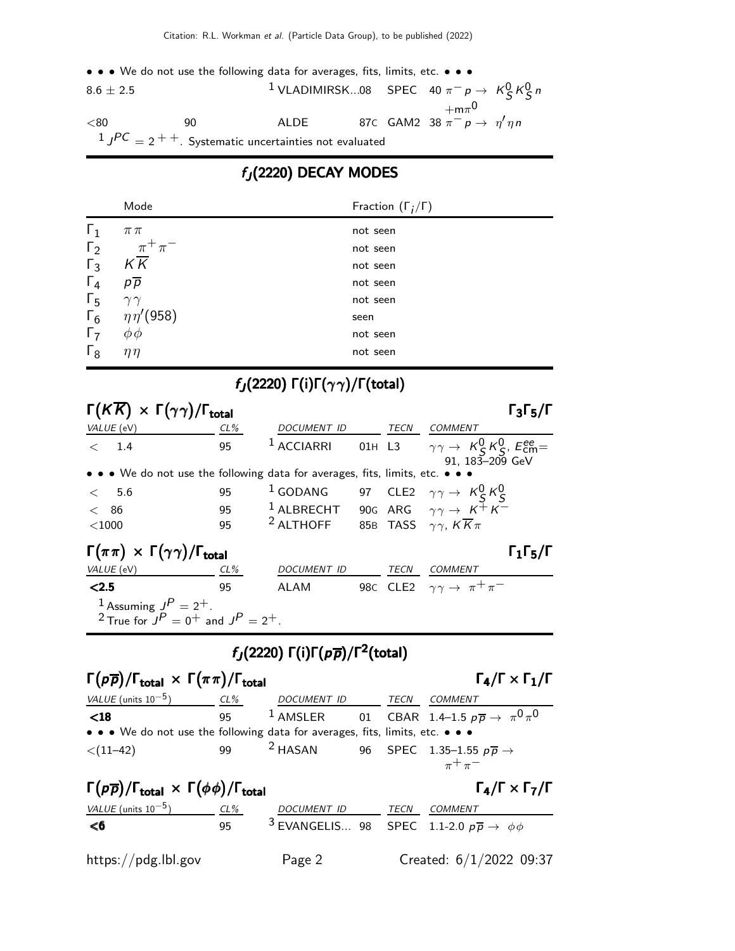|               | $\bullet$ $\bullet$ $\bullet$ We do not use the following data for averages, fits, limits, etc. $\bullet$ $\bullet$ $\bullet$ |                                                               |  |                                                 |  |
|---------------|-------------------------------------------------------------------------------------------------------------------------------|---------------------------------------------------------------|--|-------------------------------------------------|--|
| $8.6 \pm 2.5$ |                                                                                                                               | <sup>1</sup> VLADIMIRSK08 SPEC 40 $\pi^- p \to K^0_S K^0_S n$ |  |                                                 |  |
|               |                                                                                                                               |                                                               |  | $+m\pi^0$                                       |  |
| < 80          | 90.                                                                                                                           | ALDE                                                          |  | 87C GAM2 38 $\pi^-$ p $\rightarrow \eta'\eta n$ |  |
|               | $1$ $JPC = 2 + +$ . Systematic uncertainties not evaluated                                                                    |                                                               |  |                                                 |  |

# $f_{\textit{J}}(2220)$  DECAY MODES

| Mode            | Fraction $(\Gamma_i/\Gamma)$                             |
|-----------------|----------------------------------------------------------|
| $\pi\,\pi$      | not seen                                                 |
|                 | not seen                                                 |
|                 | not seen                                                 |
| $p\overline{p}$ | not seen                                                 |
| $\gamma\gamma$  | not seen                                                 |
|                 | seen                                                     |
| $\phi\phi$      | not seen                                                 |
| $\eta\eta$      | not seen                                                 |
|                 | $\pi^{+}\pi^{-}$<br>$K\overline{K}$<br>$\eta\eta' (958)$ |

# $f_{\text{J}}(2220)$  Γ(i)Γ $(\gamma\gamma)/$ Γ $(\text{total})$

| $\Gamma(K\overline{K}) \times \Gamma(\gamma\gamma)/\Gamma_{\text{total}}$                  |        |                                                                                                    |      |                                                  | $\Gamma_3\Gamma_5/\Gamma$ |
|--------------------------------------------------------------------------------------------|--------|----------------------------------------------------------------------------------------------------|------|--------------------------------------------------|---------------------------|
| VALUE (eV)                                                                                 | $CL\%$ | DOCUMENT ID                                                                                        | TECN | <b>COMMENT</b>                                   |                           |
| 1.4<br>$\lt$                                                                               | 95     | <sup>1</sup> ACCIARRI 01H L3 $\gamma \gamma \rightarrow K_S^0 K_S^0$ , $E_{\text{cm}}^{\text{ee}}$ |      | 91, 183-209 GeV                                  |                           |
| • • • We do not use the following data for averages, fits, limits, etc. • • •              |        |                                                                                                    |      |                                                  |                           |
| $\lt$ 5.6                                                                                  | 95     | <sup>1</sup> GODANG 97 CLE2 $\gamma \gamma \rightarrow K_S^0 K_S^0$                                |      |                                                  |                           |
| $<$ 86                                                                                     | 95     | <sup>1</sup> ALBRECHT 90G ARG $\gamma \gamma \rightarrow K^+ K^-$                                  |      |                                                  |                           |
| $<$ 1000                                                                                   |        | 95 <sup>2</sup> ALTHOFF 85B TASS $\gamma \gamma$ , $K\overline{K}\pi$                              |      |                                                  |                           |
| $\Gamma(\pi\pi) \times \Gamma(\gamma\gamma) / \Gamma_{\text{total}}$                       |        |                                                                                                    |      |                                                  | $\Gamma_1\Gamma_5/\Gamma$ |
| VALUE (eV)                                                                                 | $CL\%$ | DOCUMENT ID                                                                                        | TECN | COMMENT                                          |                           |
| < 2.5                                                                                      | 95     | ALAM                                                                                               |      | 980 CLE2 $\gamma \gamma \rightarrow \pi^+ \pi^-$ |                           |
| <sup>1</sup> Assuming $J^P = 2^+$ .<br><sup>2</sup> True for $J^P = 0^+$ and $J^P = 2^+$ . |        |                                                                                                    |      |                                                  |                           |
|                                                                                            |        |                                                                                                    |      |                                                  |                           |

# $f_J(2220) \Gamma(i) \Gamma(p\overline{p})/\Gamma^2(\text{total})$

#### $\Gamma(p\overline{p})/\Gamma_{\text{total}} \times \Gamma(\pi\pi)/\Gamma_{\text{total}}$  Γ<sub>4</sub>/Γ  $\times$  Γ<sub>1</sub>/Γ  $\Gamma_4/\Gamma \times \Gamma_1/\Gamma$ VALUE (units  $10^{-5}$ ) CL% DOCUMENT ID TECN COMMENT <18 95 1 AMSLER 01 CBAR 1.4–1.5 p p → π 0 π 0 • • • We do not use the following data for averages, fits, limits, etc. • • •  $\lt(11-42)$  99 2 HASAN 96 SPEC 1.35-1.55  $p\overline{p} \rightarrow$  $\pi$ <sup>+</sup> $\pi$ <sup>-</sup>  $\Gamma(p\overline{p})/\Gamma_{\text{total}} \times \Gamma(\phi\phi)/\Gamma_{\text{total}}$  Γ<sub>4</sub>/Γ  $\times$  Γ<sub>7</sub>/Γ  $\Gamma_4/\Gamma \times \Gamma_7/\Gamma$  $VALUE$  (units 10<sup>-5</sup>) CL% DOCUMENT ID TECN COMMENT  $\leq$ **6** 95  $3$  EVANGELIS... 98 SPEC 1.1-2.0  $p\overline{p} \rightarrow \phi\phi$ https://pdg.lbl.gov Page 2 Created: 6/1/2022 09:37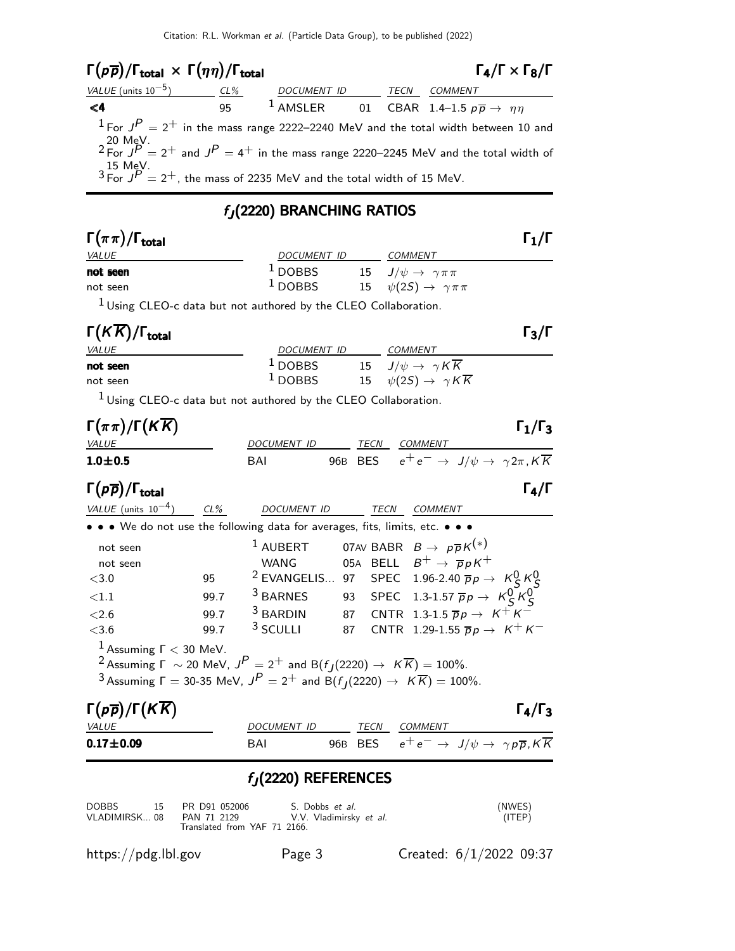# Γ $(p\overline{p})$ /Γ<sub>total</sub> × Γ $(\eta \eta)$ /Γ<sub>total</sub> Γ<sub>4</sub>/Γ × Γ<sub>8</sub>/Γ

| <i>VALUE</i> (units $10^{-5}$ )                                                      | $CL\%$ | DOCUMENT ID TECN |  | COMMENT                                                                                                        |
|--------------------------------------------------------------------------------------|--------|------------------|--|----------------------------------------------------------------------------------------------------------------|
| $\leq$ 4                                                                             | 95     |                  |  | <sup>1</sup> AMSLER 01 CBAR 1.4-1.5 $p\overline{p} \rightarrow \eta \eta$                                      |
|                                                                                      |        |                  |  | <sup>1</sup> For $J^P = 2^+$ in the mass range 2222–2240 MeV and the total width between 10 and                |
|                                                                                      |        |                  |  | 20 MeV.<br><sup>2</sup> For $J^P = 2^+$ and $J^P = 4^+$ in the mass range 2220–2245 MeV and the total width of |
| 15 MeV.<br>$3$ For $J^P = 2^+$ , the mass of 2235 MeV and the total width of 15 MeV. |        |                  |  |                                                                                                                |

### $f_J(2220)$  BRANCHING RATIOS

| $\Gamma(\pi\pi)/\Gamma_{\rm total}$                               |             |                                          | $\Gamma_1/\Gamma$ |
|-------------------------------------------------------------------|-------------|------------------------------------------|-------------------|
| <i>VALUE</i>                                                      | DOCUMENT ID | <b>COMMENT</b>                           |                   |
| not seen                                                          | $1$ DOBBS   | 15 $J/\psi \rightarrow \gamma \pi \pi$   |                   |
| not seen                                                          | $1$ DOBBS   | 15 $\psi(2S) \rightarrow \gamma \pi \pi$ |                   |
| $1$ Using CLEO-c data but not authored by the CLEO Collaboration. |             |                                          |                   |

| $\Gamma(K\overline{K})/\Gamma_{\rm total}$ |                    |                                                 | $\mathsf{\Gamma}_3/\mathsf{\Gamma}$ |
|--------------------------------------------|--------------------|-------------------------------------------------|-------------------------------------|
| <i>VALUE</i>                               | DOCUMENT ID        | COMMENT                                         |                                     |
| not seen                                   | <sup>1</sup> DOBBS | 15 $J/\psi \rightarrow \gamma K K$              |                                     |
| not seen                                   | <sup>1</sup> DOBBS | 15 $\psi(2S) \rightarrow \gamma K \overline{K}$ |                                     |

 $1$  Using CLEO-c data but not authored by the CLEO Collaboration.

| $\Gamma(\pi\pi)/\Gamma(K\overline{K})$ |             |      |                                                               | $\Gamma_1/\Gamma_3$ |
|----------------------------------------|-------------|------|---------------------------------------------------------------|---------------------|
| <i>VALUE</i>                           | DOCUMENT ID | TECN | COMMENT                                                       |                     |
| $1.0 + 0.5$                            | <b>BAI</b>  |      | 96B BES $e^+e^- \rightarrow J/\psi \rightarrow \gamma 2\pi K$ |                     |

| $\Gamma(p\overline{p})/\Gamma_{\rm total}$                                                                                                                                                                                                                                        |        |                                                                    |      |                                                                                  |  |
|-----------------------------------------------------------------------------------------------------------------------------------------------------------------------------------------------------------------------------------------------------------------------------------|--------|--------------------------------------------------------------------|------|----------------------------------------------------------------------------------|--|
| VALUE (units $10^{-4}$ )                                                                                                                                                                                                                                                          | $CL\%$ | <b>DOCUMENT ID</b>                                                 | TECN | <i>COMMENT</i>                                                                   |  |
| • • • We do not use the following data for averages, fits, limits, etc. • • •                                                                                                                                                                                                     |        |                                                                    |      |                                                                                  |  |
| not seen                                                                                                                                                                                                                                                                          |        | <sup>1</sup> AUBERT 07AV BABR $B \rightarrow p\overline{p}K^{(*)}$ |      |                                                                                  |  |
| not seen                                                                                                                                                                                                                                                                          |        | WANG                                                               |      | 05A BELL $B^+ \rightarrow \overline{p}pK^+$                                      |  |
| $<$ 3.0                                                                                                                                                                                                                                                                           | 95     |                                                                    |      | <sup>2</sup> EVANGELIS 97 SPEC 1.96-2.40 $\overline{p}p \rightarrow K_S^0 K_S^0$ |  |
| ${<}1.1$                                                                                                                                                                                                                                                                          | 99.7   | <sup>3</sup> BARNES                                                |      | 93 SPEC 1.3-1.57 $\overline{p}p \rightarrow K_S^0 K_S^0$                         |  |
| < 2.6                                                                                                                                                                                                                                                                             | 99.7   | $3$ BARDIN                                                         |      | 87 CNTR 1.3-1.5 $\bar{p}p \to K^+ K^-$                                           |  |
| $<$ 3.6                                                                                                                                                                                                                                                                           | 99.7   | $3$ SCULLI                                                         |      | 87 CNTR 1.29-1.55 $\overline{p}p \rightarrow K^+ K^-$                            |  |
| <sup>1</sup> Assuming $\Gamma$ < 30 MeV.<br><sup>2</sup> Assuming $\Gamma \sim 20$ MeV, $J^P = 2^+$ and B( $f_J(2220) \rightarrow K\overline{K}$ ) = 100%.<br>$3$ Assuming $\Gamma = 30-35$ MeV, $J^P = 2^+$ and B(f <sub>1</sub> (2220) $\rightarrow$ K $\overline{K}$ ) = 100%. |        |                                                                    |      |                                                                                  |  |

| $\Gamma(p\overline{p})/\Gamma(K\overline{K})$ |             |      |                                                                                                | $\Gamma_4/\Gamma_3$ |
|-----------------------------------------------|-------------|------|------------------------------------------------------------------------------------------------|---------------------|
| <i>VALUE</i>                                  | DOCUMENT ID | TECN | COMMENT                                                                                        |                     |
| $0.17 \pm 0.09$                               | BAI         |      | 96B BES $e^+e^- \rightarrow J/\psi \rightarrow \gamma \rho \overline{\rho}$ , K $\overline{K}$ |                     |

# $f_J(2220)$  REFERENCES

| <b>DOBBS</b>              | 15 PR D91 052006             | S. Dobbs <i>et al.</i>  | (NWES) |
|---------------------------|------------------------------|-------------------------|--------|
| VLADIMIRSK 08 PAN 71 2129 |                              | V.V. Vladimirsky et al. | (ITER) |
|                           | Translated from YAF 71 2166. |                         |        |

https://pdg.lbl.gov Page 3 Created: 6/1/2022 09:37

 $\Gamma_4/\Gamma \times \Gamma_8/\Gamma$